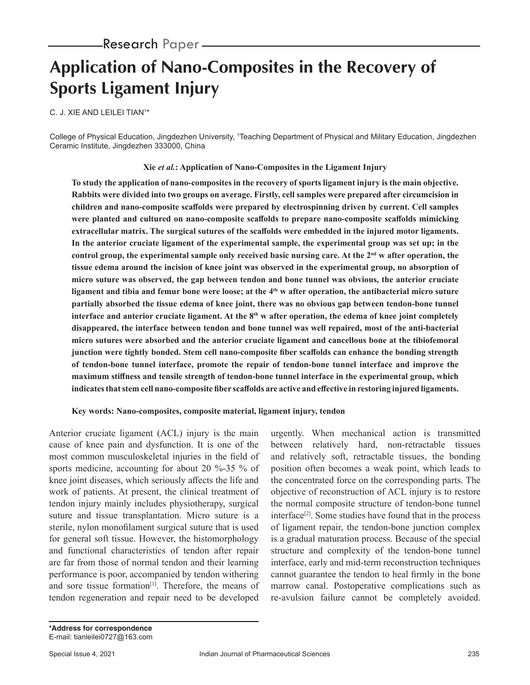# **Application of Nano-Composites in the Recovery of Sports Ligament Injury**

C. J. XIE AND LEILEI TIAN1 \*

College of Physical Education, Jingdezhen University, 1 Teaching Department of Physical and Military Education, Jingdezhen Ceramic Institute, Jingdezhen 333000, China

## **Xie** *et al.***: Application of Nano-Composites in the Ligament Injury**

**To study the application of nano-composites in the recovery of sports ligament injury is the main objective. Rabbits were divided into two groups on average. Firstly, cell samples were prepared after circumcision in children and nano-composite scaffolds were prepared by electrospinning driven by current. Cell samples were planted and cultured on nano-composite scaffolds to prepare nano-composite scaffolds mimicking extracellular matrix. The surgical sutures of the scaffolds were embedded in the injured motor ligaments. In the anterior cruciate ligament of the experimental sample, the experimental group was set up; in the control group, the experimental sample only received basic nursing care. At the 2nd w after operation, the tissue edema around the incision of knee joint was observed in the experimental group, no absorption of micro suture was observed, the gap between tendon and bone tunnel was obvious, the anterior cruciate**  ligament and tibia and femur bone were loose; at the 4<sup>th</sup> w after operation, the antibacterial micro suture **partially absorbed the tissue edema of knee joint, there was no obvious gap between tendon-bone tunnel interface and anterior cruciate ligament. At the 8<sup>th</sup> w after operation, the edema of knee joint completely disappeared, the interface between tendon and bone tunnel was well repaired, most of the anti-bacterial micro sutures were absorbed and the anterior cruciate ligament and cancellous bone at the tibiofemoral junction were tightly bonded. Stem cell nano-composite fiber scaffolds can enhance the bonding strength of tendon-bone tunnel interface, promote the repair of tendon-bone tunnel interface and improve the maximum stiffness and tensile strength of tendon-bone tunnel interface in the experimental group, which indicates that stem cell nano-composite fiber scaffolds are active and effective in restoring injured ligaments.**

## **Key words: Nano-composites, composite material, ligament injury, tendon**

Anterior cruciate ligament (ACL) injury is the main cause of knee pain and dysfunction. It is one of the most common musculoskeletal injuries in the field of sports medicine, accounting for about 20 %-35 % of knee joint diseases, which seriously affects the life and work of patients. At present, the clinical treatment of tendon injury mainly includes physiotherapy, surgical suture and tissue transplantation. Micro suture is a sterile, nylon monofilament surgical suture that is used for general soft tissue. However, the histomorphology and functional characteristics of tendon after repair are far from those of normal tendon and their learning performance is poor, accompanied by tendon withering and sore tissue formation<sup>[1]</sup>. Therefore, the means of tendon regeneration and repair need to be developed

urgently. When mechanical action is transmitted between relatively hard, non-retractable tissues and relatively soft, retractable tissues, the bonding position often becomes a weak point, which leads to the concentrated force on the corresponding parts. The objective of reconstruction of ACL injury is to restore the normal composite structure of tendon-bone tunnel interface<sup>[2]</sup>. Some studies have found that in the process of ligament repair, the tendon-bone junction complex is a gradual maturation process. Because of the special structure and complexity of the tendon-bone tunnel interface, early and mid-term reconstruction techniques cannot guarantee the tendon to heal firmly in the bone marrow canal. Postoperative complications such as re-avulsion failure cannot be completely avoided.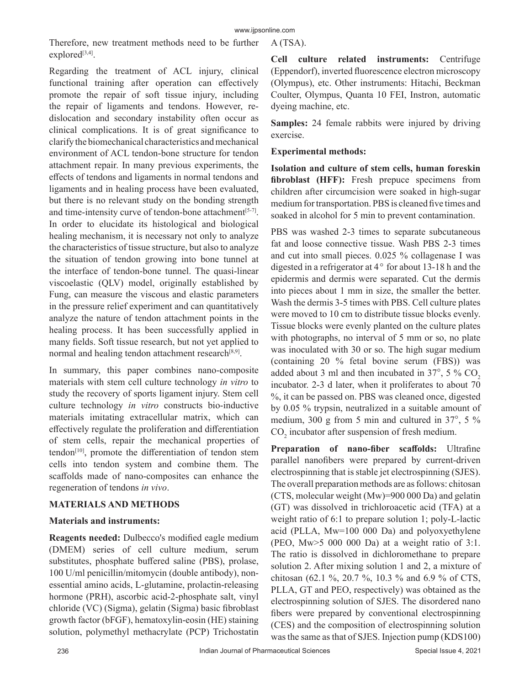Therefore, new treatment methods need to be further explored $[3,4]$ .

Regarding the treatment of ACL injury, clinical functional training after operation can effectively promote the repair of soft tissue injury, including the repair of ligaments and tendons. However, redislocation and secondary instability often occur as clinical complications. It is of great significance to clarify the biomechanical characteristics and mechanical environment of ACL tendon-bone structure for tendon attachment repair. In many previous experiments, the effects of tendons and ligaments in normal tendons and ligaments and in healing process have been evaluated, but there is no relevant study on the bonding strength and time-intensity curve of tendon-bone attachment<sup>[5-7]</sup>. In order to elucidate its histological and biological healing mechanism, it is necessary not only to analyze the characteristics of tissue structure, but also to analyze the situation of tendon growing into bone tunnel at the interface of tendon-bone tunnel. The quasi-linear viscoelastic (QLV) model, originally established by Fung, can measure the viscous and elastic parameters in the pressure relief experiment and can quantitatively analyze the nature of tendon attachment points in the healing process. It has been successfully applied in many fields. Soft tissue research, but not yet applied to normal and healing tendon attachment research<sup>[8,9]</sup>.

In summary, this paper combines nano-composite materials with stem cell culture technology *in vitro* to study the recovery of sports ligament injury. Stem cell culture technology *in vitro* constructs bio-inductive materials imitating extracellular matrix, which can effectively regulate the proliferation and differentiation of stem cells, repair the mechanical properties of tendon<sup>[10]</sup>, promote the differentiation of tendon stem cells into tendon system and combine them. The scaffolds made of nano-composites can enhance the regeneration of tendons *in vivo*.

# **MATERIALS AND METHODS**

## **Materials and instruments:**

**Reagents needed:** Dulbecco's modified eagle medium (DMEM) series of cell culture medium, serum substitutes, phosphate buffered saline (PBS), prolase, 100 U/ml penicillin/mitomycin (double antibody), nonessential amino acids, L-glutamine, prolactin-releasing hormone (PRH), ascorbic acid-2-phosphate salt, vinyl chloride (VC) (Sigma), gelatin (Sigma) basic fibroblast growth factor (bFGF), hematoxylin-eosin (HE) staining solution, polymethyl methacrylate (PCP) Trichostatin A (TSA).

**Cell culture related instruments:** Centrifuge (Eppendorf), inverted fluorescence electron microscopy (Olympus), etc. Other instruments: Hitachi, Beckman Coulter, Olympus, Quanta 10 FEI, Instron, automatic dyeing machine, etc.

**Samples:** 24 female rabbits were injured by driving exercise.

## **Experimental methods:**

**Isolation and culture of stem cells, human foreskin fibroblast (HFF):** Fresh prepuce specimens from children after circumcision were soaked in high-sugar medium for transportation. PBS is cleaned five times and soaked in alcohol for 5 min to prevent contamination.

PBS was washed 2-3 times to separate subcutaneous fat and loose connective tissue. Wash PBS 2-3 times and cut into small pieces. 0.025 % collagenase I was digested in a refrigerator at  $4^{\circ}$  for about 13-18 h and the epidermis and dermis were separated. Cut the dermis into pieces about 1 mm in size, the smaller the better. Wash the dermis 3-5 times with PBS. Cell culture plates were moved to 10 cm to distribute tissue blocks evenly. Tissue blocks were evenly planted on the culture plates with photographs, no interval of 5 mm or so, no plate was inoculated with 30 or so. The high sugar medium (containing 20 % fetal bovine serum (FBS)) was added about 3 ml and then incubated in  $37^{\circ}$ , 5 % CO<sub>2</sub> incubator. 2-3 d later, when it proliferates to about 70 %, it can be passed on. PBS was cleaned once, digested by 0.05 % trypsin, neutralized in a suitable amount of medium, 300 g from 5 min and cultured in  $37^{\circ}$ , 5 %  $CO<sub>2</sub>$  incubator after suspension of fresh medium.

**Preparation of nano-fiber scaffolds:** Ultrafine parallel nanofibers were prepared by current-driven electrospinning that is stable jet electrospinning (SJES). The overall preparation methods are as follows: chitosan (CTS, molecular weight (Mw)=900 000 Da) and gelatin (GT) was dissolved in trichloroacetic acid (TFA) at a weight ratio of 6:1 to prepare solution 1; poly-L-lactic acid (PLLA, Mw=100 000 Da) and polyoxyethylene (PEO, Mw>5 000 000 Da) at a weight ratio of 3:1. The ratio is dissolved in dichloromethane to prepare solution 2. After mixing solution 1 and 2, a mixture of chitosan (62.1 %, 20.7 %, 10.3 % and 6.9 % of CTS, PLLA, GT and PEO, respectively) was obtained as the electrospinning solution of SJES. The disordered nano fibers were prepared by conventional electrospinning (CES) and the composition of electrospinning solution was the same as that of SJES. Injection pump (KDS100)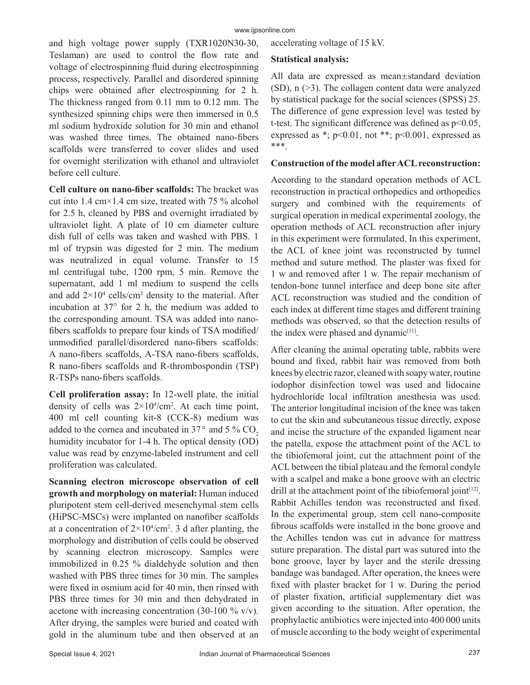and high voltage power supply (TXR1020N30-30, Teslaman) are used to control the flow rate and voltage of electrospinning fluid during electrospinning process, respectively. Parallel and disordered spinning chips were obtained after electrospinning for 2 h. The thickness ranged from 0.11 mm to 0.12 mm. The synthesized spinning chips were then immersed in 0.5 ml sodium hydroxide solution for 30 min and ethanol was washed three times. The obtained nano-fibers scaffolds were transferred to cover slides and used for overnight sterilization with ethanol and ultraviolet before cell culture.

**Cell culture on nano-fiber scaffolds:** The bracket was cut into 1.4 cm×1.4 cm size, treated with 75 % alcohol for 2.5 h, cleaned by PBS and overnight irradiated by ultraviolet light. A plate of 10 cm diameter culture dish full of cells was taken and washed with PBS. 1 ml of trypsin was digested for 2 min. The medium was neutralized in equal volume. Transfer to 15 ml centrifugal tube, 1200 rpm, 5 min. Remove the supernatant, add 1 ml medium to suspend the cells and add  $2\times10^4$  cells/cm<sup>2</sup> density to the material. After incubation at  $37^{\circ}$  for 2 h, the medium was added to the corresponding amount. TSA was added into nanofibers scaffolds to prepare four kinds of TSA modified/ unmodified parallel/disordered nano-fibers scaffolds: A nano-fibers scaffolds, A-TSA nano-fibers scaffolds, R nano-fibers scaffolds and R-thrombospondin (TSP) R-TSPs nano-fibers scaffolds.

**Cell proliferation assay:** In 12-well plate, the initial density of cells was  $2 \times 10^{4}/\text{cm}^2$ . At each time point, 400 ml cell counting kit-8 (CCK-8) medium was added to the cornea and incubated in  $37^\circ$  and  $5\%$  CO<sub>2</sub> humidity incubator for 1-4 h. The optical density (OD) value was read by enzyme-labeled instrument and cell proliferation was calculated.

**Scanning electron microscope observation of cell growth and morphology on material:** Human induced pluripotent stem cell-derived mesenchymal stem cells (HiPSC-MSCs) were implanted on nanofiber scaffolds at a concentration of  $2 \times 10^{4}/\text{cm}^2$ . 3 d after planting, the morphology and distribution of cells could be observed by scanning electron microscopy. Samples were immobilized in 0.25 % dialdehyde solution and then washed with PBS three times for 30 min. The samples were fixed in osmium acid for 40 min, then rinsed with PBS three times for 30 min and then dehydrated in acetone with increasing concentration (30-100  $\%$  v/v). After drying, the samples were buried and coated with gold in the aluminum tube and then observed at an

accelerating voltage of 15 kV.

## **Statistical analysis:**

All data are expressed as mean±standard deviation (SD), n (>3). The collagen content data were analyzed by statistical package for the social sciences (SPSS) 25. The difference of gene expression level was tested by t-test. The significant difference was defined as p<0.05, expressed as \*;  $p<0.01$ , not \*\*;  $p<0.001$ , expressed as \*\*\*.

## **Construction of the model after ACL reconstruction:**

According to the standard operation methods of ACL reconstruction in practical orthopedics and orthopedics surgery and combined with the requirements of surgical operation in medical experimental zoology, the operation methods of ACL reconstruction after injury in this experiment were formulated. In this experiment, the ACL of knee joint was reconstructed by tunnel method and suture method. The plaster was fixed for 1 w and removed after 1 w. The repair mechanism of tendon-bone tunnel interface and deep bone site after ACL reconstruction was studied and the condition of each index at different time stages and different training methods was observed, so that the detection results of the index were phased and dynamic<sup>[11]</sup>.

After cleaning the animal operating table, rabbits were bound and fixed, rabbit hair was removed from both knees by electric razor, cleaned with soapy water, routine iodophor disinfection towel was used and lidocaine hydrochloride local infiltration anesthesia was used. The anterior longitudinal incision of the knee was taken to cut the skin and subcutaneous tissue directly, expose and incise the structure of the expanded ligament near the patella, expose the attachment point of the ACL to the tibiofemoral joint, cut the attachment point of the ACL between the tibial plateau and the femoral condyle with a scalpel and make a bone groove with an electric drill at the attachment point of the tibiofemoral joint $[12]$ . Rabbit Achilles tendon was reconstructed and fixed. In the experimental group, stem cell nano-composite fibrous scaffolds were installed in the bone groove and the Achilles tendon was cut in advance for mattress suture preparation. The distal part was sutured into the bone groove, layer by layer and the sterile dressing bandage was bandaged. After operation, the knees were fixed with plaster bracket for 1 w. During the period of plaster fixation, artificial supplementary diet was given according to the situation. After operation, the prophylactic antibiotics were injected into 400 000 units of muscle according to the body weight of experimental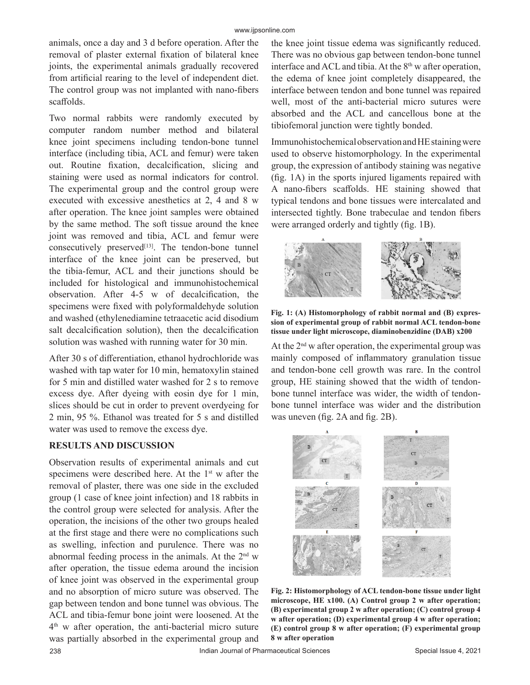animals, once a day and 3 d before operation. After the removal of plaster external fixation of bilateral knee joints, the experimental animals gradually recovered from artificial rearing to the level of independent diet. The control group was not implanted with nano-fibers scaffolds.

Two normal rabbits were randomly executed by computer random number method and bilateral knee joint specimens including tendon-bone tunnel interface (including tibia, ACL and femur) were taken out. Routine fixation, decalcification, slicing and staining were used as normal indicators for control. The experimental group and the control group were executed with excessive anesthetics at 2, 4 and 8 w after operation. The knee joint samples were obtained by the same method. The soft tissue around the knee joint was removed and tibia, ACL and femur were consecutively preserved $[13]$ . The tendon-bone tunnel interface of the knee joint can be preserved, but the tibia-femur, ACL and their junctions should be included for histological and immunohistochemical observation. After 4-5 w of decalcification, the specimens were fixed with polyformaldehyde solution and washed (ethylenediamine tetraacetic acid disodium salt decalcification solution), then the decalcification solution was washed with running water for 30 min.

After 30 s of differentiation, ethanol hydrochloride was washed with tap water for 10 min, hematoxylin stained for 5 min and distilled water washed for 2 s to remove excess dye. After dyeing with eosin dye for 1 min, slices should be cut in order to prevent overdyeing for 2 min, 95 %. Ethanol was treated for 5 s and distilled water was used to remove the excess dye.

## **RESULTS AND DISCUSSION**

Observation results of experimental animals and cut specimens were described here. At the  $1<sup>st</sup>$  w after the removal of plaster, there was one side in the excluded group (1 case of knee joint infection) and 18 rabbits in the control group were selected for analysis. After the operation, the incisions of the other two groups healed at the first stage and there were no complications such as swelling, infection and purulence. There was no abnormal feeding process in the animals. At the  $2<sup>nd</sup>$  w after operation, the tissue edema around the incision of knee joint was observed in the experimental group and no absorption of micro suture was observed. The gap between tendon and bone tunnel was obvious. The ACL and tibia-femur bone joint were loosened. At the 4<sup>th</sup> w after operation, the anti-bacterial micro suture was partially absorbed in the experimental group and the knee joint tissue edema was significantly reduced. There was no obvious gap between tendon-bone tunnel interface and ACL and tibia. At the  $8<sup>th</sup>$  w after operation, the edema of knee joint completely disappeared, the interface between tendon and bone tunnel was repaired well, most of the anti-bacterial micro sutures were absorbed and the ACL and cancellous bone at the tibiofemoral junction were tightly bonded.

Immunohistochemical observation and HE staining were used to observe histomorphology. In the experimental group, the expression of antibody staining was negative (fig. 1A) in the sports injured ligaments repaired with A nano-fibers scaffolds. HE staining showed that typical tendons and bone tissues were intercalated and intersected tightly. Bone trabeculae and tendon fibers were arranged orderly and tightly (fig. 1B).



**Fig. 1: (A) Histomorphology of rabbit normal and (B) expression of experimental group of rabbit normal ACL tendon-bone tissue under light microscope, diaminobenzidine (DAB) x200**

At the  $2<sup>nd</sup>$  w after operation, the experimental group was mainly composed of inflammatory granulation tissue and tendon-bone cell growth was rare. In the control group, HE staining showed that the width of tendonbone tunnel interface was wider, the width of tendonbone tunnel interface was wider and the distribution was uneven (fig. 2A and fig. 2B).



**Fig. 2: Histomorphology of ACL tendon-bone tissue under light microscope, HE x100. (A) Control group 2 w after operation; (B) experimental group 2 w after operation; (C) control group 4 w after operation; (D) experimental group 4 w after operation; (E) control group 8 w after operation; (F) experimental group 8 w after operation**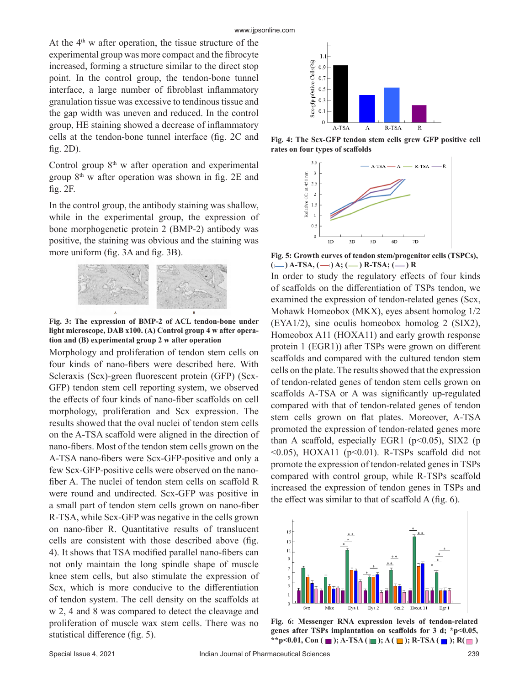At the  $4<sup>th</sup>$  w after operation, the tissue structure of the experimental group was more compact and the fibrocyte increased, forming a structure similar to the direct stop point. In the control group, the tendon-bone tunnel interface, a large number of fibroblast inflammatory granulation tissue was excessive to tendinous tissue and the gap width was uneven and reduced. In the control group, HE staining showed a decrease of inflammatory cells at the tendon-bone tunnel interface (fig. 2C and fig. 2D).

Control group  $8<sup>th</sup>$  w after operation and experimental group  $8<sup>th</sup>$  w after operation was shown in fig. 2E and fig. 2F.

In the control group, the antibody staining was shallow, while in the experimental group, the expression of bone morphogenetic protein 2 (BMP-2) antibody was positive, the staining was obvious and the staining was more uniform (fig. 3A and fig. 3B).



**Fig. 3: The expression of BMP-2 of ACL tendon-bone under light microscope, DAB x100. (A) Control group 4 w after operation and (B) experimental group 2 w after operation**

Morphology and proliferation of tendon stem cells on four kinds of nano-fibers were described here. With Scleraxis (Scx)-green fluorescent protein (GFP) (Scx-GFP) tendon stem cell reporting system, we observed the effects of four kinds of nano-fiber scaffolds on cell morphology, proliferation and Scx expression. The results showed that the oval nuclei of tendon stem cells on the A-TSA scaffold were aligned in the direction of nano-fibers. Most of the tendon stem cells grown on the A-TSA nano-fibers were Scx-GFP-positive and only a few Scx-GFP-positive cells were observed on the nanofiber A. The nuclei of tendon stem cells on scaffold R were round and undirected. Scx-GFP was positive in a small part of tendon stem cells grown on nano-fiber R-TSA, while Scx-GFP was negative in the cells grown on nano-fiber R. Quantitative results of translucent cells are consistent with those described above (fig. 4). It shows that TSA modified parallel nano-fibers can not only maintain the long spindle shape of muscle knee stem cells, but also stimulate the expression of Scx, which is more conducive to the differentiation of tendon system. The cell density on the scaffolds at w 2, 4 and 8 was compared to detect the cleavage and proliferation of muscle wax stem cells. There was no statistical difference (fig. 5).



**Fig. 4: The Scx-GFP tendon stem cells grew GFP positive cell rates on four types of scaffolds**



**Fig. 5: Growth curves of tendon stem/progenitor cells (TSPCs),**   $(-)$  A-TSA,  $(-)$  A;  $(-)$  R-TSA;  $(-)$  R

In order to study the regulatory effects of four kinds of scaffolds on the differentiation of TSPs tendon, we examined the expression of tendon-related genes (Scx, Mohawk Homeobox (MKX), eyes absent homolog 1/2 (EYA1/2), sine oculis homeobox homolog 2 (SIX2), Homeobox A11 (HOXA11) and early growth response protein 1 (EGR1)) after TSPs were grown on different scaffolds and compared with the cultured tendon stem cells on the plate. The results showed that the expression of tendon-related genes of tendon stem cells grown on scaffolds A-TSA or A was significantly up-regulated compared with that of tendon-related genes of tendon stem cells grown on flat plates. Moreover, A-TSA promoted the expression of tendon-related genes more than A scaffold, especially EGR1 ( $p$ <0.05), SIX2 ( $p$  $\leq 0.05$ ), HOXA11 (p $\leq 0.01$ ). R-TSPs scaffold did not promote the expression of tendon-related genes in TSPs compared with control group, while R-TSPs scaffold increased the expression of tendon genes in TSPs and the effect was similar to that of scaffold A (fig. 6).



**Fig. 6: Messenger RNA expression levels of tendon-related genes after TSPs implantation on scaffolds for 3 d; \*p<0.05, \*\*p<0.01, Con ( ■ ); A-TSA ( ■ ); A ( ■ ); R-TSA ( ■ ); R( ■ )**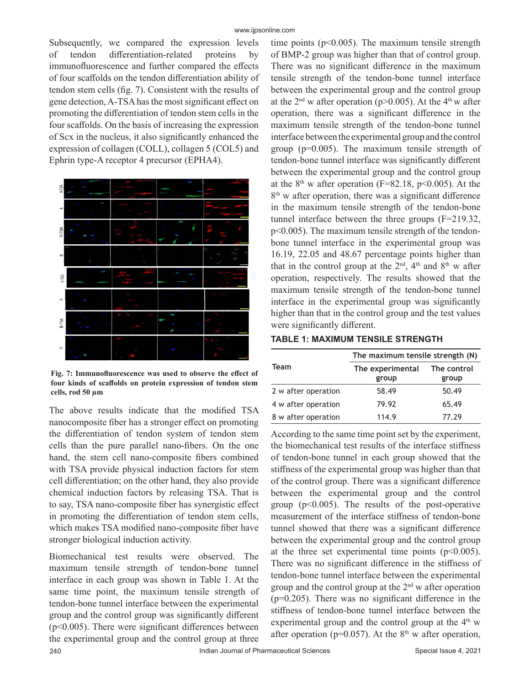Subsequently, we compared the expression levels of tendon differentiation-related proteins by immunofluorescence and further compared the effects of four scaffolds on the tendon differentiation ability of tendon stem cells (fig. 7). Consistent with the results of gene detection, A-TSA has the most significant effect on promoting the differentiation of tendon stem cells in the four scaffolds. On the basis of increasing the expression of Scx in the nucleus, it also significantly enhanced the expression of collagen (COLL), collagen 5 (COL5) and Ephrin type-A receptor 4 precursor (EPHA4).



**Fig. 7: Immunofluorescence was used to observe the effect of four kinds of scaffolds on protein expression of tendon stem cells, rod 50 µm**

The above results indicate that the modified TSA nanocomposite fiber has a stronger effect on promoting the differentiation of tendon system of tendon stem cells than the pure parallel nano-fibers. On the one hand, the stem cell nano-composite fibers combined with TSA provide physical induction factors for stem cell differentiation; on the other hand, they also provide chemical induction factors by releasing TSA. That is to say, TSA nano-composite fiber has synergistic effect in promoting the differentiation of tendon stem cells, which makes TSA modified nano-composite fiber have stronger biological induction activity.

Biomechanical test results were observed. The maximum tensile strength of tendon-bone tunnel interface in each group was shown in Table 1. At the same time point, the maximum tensile strength of tendon-bone tunnel interface between the experimental group and the control group was significantly different (p<0.005). There were significant differences between the experimental group and the control group at three time points ( $p<0.005$ ). The maximum tensile strength of BMP-2 group was higher than that of control group. There was no significant difference in the maximum tensile strength of the tendon-bone tunnel interface between the experimental group and the control group at the  $2<sup>nd</sup>$  w after operation (p>0.005). At the  $4<sup>th</sup>$  w after operation, there was a significant difference in the maximum tensile strength of the tendon-bone tunnel interface between the experimental group and the control group (p=0.005). The maximum tensile strength of tendon-bone tunnel interface was significantly different between the experimental group and the control group at the  $8<sup>th</sup>$  w after operation (F=82.18, p<0.005). At the  $8<sup>th</sup>$  w after operation, there was a significant difference in the maximum tensile strength of the tendon-bone tunnel interface between the three groups (F=219.32, p<0.005). The maximum tensile strength of the tendonbone tunnel interface in the experimental group was 16.19, 22.05 and 48.67 percentage points higher than that in the control group at the  $2<sup>nd</sup>$ , 4<sup>th</sup> and 8<sup>th</sup> w after operation, respectively. The results showed that the maximum tensile strength of the tendon-bone tunnel interface in the experimental group was significantly higher than that in the control group and the test values were significantly different.

**TABLE 1: MAXIMUM TENSILE STRENGTH**

| Team                | The maximum tensile strength (N) |       |
|---------------------|----------------------------------|-------|
|                     | The experimental The control     |       |
|                     | group                            | group |
| 2 w after operation | 58.49                            | 50.49 |
| 4 w after operation | 79.92                            | 65.49 |
| 8 w after operation | 114.9                            | 77.29 |

According to the same time point set by the experiment, the biomechanical test results of the interface stiffness of tendon-bone tunnel in each group showed that the stiffness of the experimental group was higher than that of the control group. There was a significant difference between the experimental group and the control group  $(p<0.005)$ . The results of the post-operative measurement of the interface stiffness of tendon-bone tunnel showed that there was a significant difference between the experimental group and the control group at the three set experimental time points  $(p<0.005)$ . There was no significant difference in the stiffness of tendon-bone tunnel interface between the experimental group and the control group at the  $2<sup>nd</sup>$  w after operation  $(p=0.205)$ . There was no significant difference in the stiffness of tendon-bone tunnel interface between the experimental group and the control group at the  $4<sup>th</sup>$  w after operation ( $p=0.057$ ). At the  $8<sup>th</sup>$  w after operation,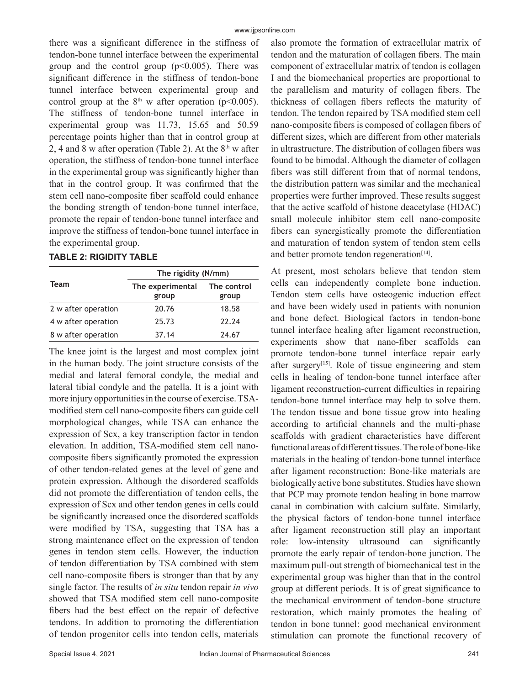there was a significant difference in the stiffness of tendon-bone tunnel interface between the experimental group and the control group  $(p<0.005)$ . There was significant difference in the stiffness of tendon-bone tunnel interface between experimental group and control group at the  $8<sup>th</sup>$  w after operation (p<0.005). The stiffness of tendon-bone tunnel interface in experimental group was 11.73, 15.65 and 50.59 percentage points higher than that in control group at 2, 4 and 8 w after operation (Table 2). At the  $8<sup>th</sup>$  w after operation, the stiffness of tendon-bone tunnel interface in the experimental group was significantly higher than that in the control group. It was confirmed that the stem cell nano-composite fiber scaffold could enhance the bonding strength of tendon-bone tunnel interface, promote the repair of tendon-bone tunnel interface and improve the stiffness of tendon-bone tunnel interface in the experimental group.

## **TABLE 2: RIGIDITY TABLE**

| Team                | The rigidity (N/mm)       |                      |  |
|---------------------|---------------------------|----------------------|--|
|                     | The experimental<br>group | The control<br>group |  |
| 2 w after operation | 20.76                     | 18.58                |  |
| 4 w after operation | 25.73                     | 22.24                |  |
| 8 w after operation | 37.14                     | 24.67                |  |

The knee joint is the largest and most complex joint in the human body. The joint structure consists of the medial and lateral femoral condyle, the medial and lateral tibial condyle and the patella. It is a joint with more injury opportunities in the course of exercise. TSAmodified stem cell nano-composite fibers can guide cell morphological changes, while TSA can enhance the expression of Scx, a key transcription factor in tendon elevation. In addition, TSA-modified stem cell nanocomposite fibers significantly promoted the expression of other tendon-related genes at the level of gene and protein expression. Although the disordered scaffolds did not promote the differentiation of tendon cells, the expression of Scx and other tendon genes in cells could be significantly increased once the disordered scaffolds were modified by TSA, suggesting that TSA has a strong maintenance effect on the expression of tendon genes in tendon stem cells. However, the induction of tendon differentiation by TSA combined with stem cell nano-composite fibers is stronger than that by any single factor. The results of *in situ* tendon repair *in vivo* showed that TSA modified stem cell nano-composite fibers had the best effect on the repair of defective tendons. In addition to promoting the differentiation of tendon progenitor cells into tendon cells, materials also promote the formation of extracellular matrix of tendon and the maturation of collagen fibers. The main component of extracellular matrix of tendon is collagen I and the biomechanical properties are proportional to the parallelism and maturity of collagen fibers. The thickness of collagen fibers reflects the maturity of tendon. The tendon repaired by TSA modified stem cell nano-composite fibers is composed of collagen fibers of different sizes, which are different from other materials in ultrastructure. The distribution of collagen fibers was found to be bimodal. Although the diameter of collagen fibers was still different from that of normal tendons, the distribution pattern was similar and the mechanical properties were further improved. These results suggest that the active scaffold of histone deacetylase (HDAC) small molecule inhibitor stem cell nano-composite fibers can synergistically promote the differentiation and maturation of tendon system of tendon stem cells and better promote tendon regeneration<sup>[14]</sup>.

At present, most scholars believe that tendon stem cells can independently complete bone induction. Tendon stem cells have osteogenic induction effect and have been widely used in patients with nonunion and bone defect. Biological factors in tendon-bone tunnel interface healing after ligament reconstruction, experiments show that nano-fiber scaffolds can promote tendon-bone tunnel interface repair early after surgery<sup>[15]</sup>. Role of tissue engineering and stem cells in healing of tendon-bone tunnel interface after ligament reconstruction-current difficulties in repairing tendon-bone tunnel interface may help to solve them. The tendon tissue and bone tissue grow into healing according to artificial channels and the multi-phase scaffolds with gradient characteristics have different functional areas of different tissues. The role of bone-like materials in the healing of tendon-bone tunnel interface after ligament reconstruction: Bone-like materials are biologically active bone substitutes. Studies have shown that PCP may promote tendon healing in bone marrow canal in combination with calcium sulfate. Similarly, the physical factors of tendon-bone tunnel interface after ligament reconstruction still play an important role: low-intensity ultrasound can significantly promote the early repair of tendon-bone junction. The maximum pull-out strength of biomechanical test in the experimental group was higher than that in the control group at different periods. It is of great significance to the mechanical environment of tendon-bone structure restoration, which mainly promotes the healing of tendon in bone tunnel: good mechanical environment stimulation can promote the functional recovery of